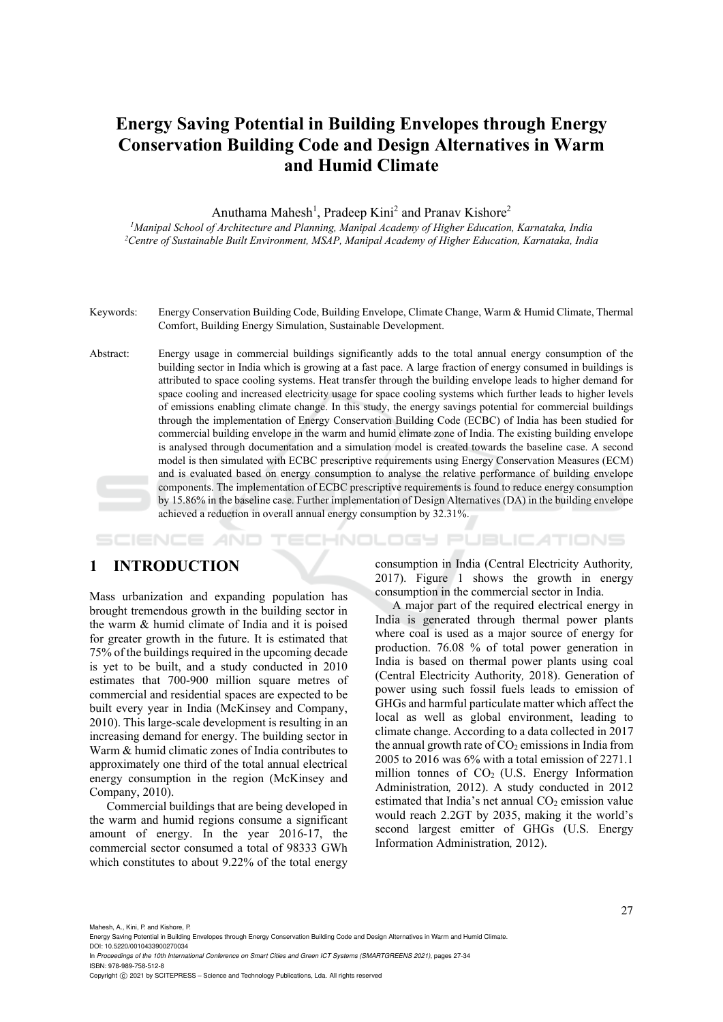# **Energy Saving Potential in Building Envelopes through Energy Conservation Building Code and Design Alternatives in Warm and Humid Climate**

Anuthama Mahesh<sup>1</sup>, Pradeep Kini<sup>2</sup> and Pranav Kishore<sup>2</sup>

*1Manipal School of Architecture and Planning, Manipal Academy of Higher Education, Karnataka, India 2Centre of Sustainable Built Environment, MSAP, Manipal Academy of Higher Education, Karnataka, India* 

- Keywords: Energy Conservation Building Code, Building Envelope, Climate Change, Warm & Humid Climate, Thermal Comfort, Building Energy Simulation, Sustainable Development.
- Abstract: Energy usage in commercial buildings significantly adds to the total annual energy consumption of the building sector in India which is growing at a fast pace. A large fraction of energy consumed in buildings is attributed to space cooling systems. Heat transfer through the building envelope leads to higher demand for space cooling and increased electricity usage for space cooling systems which further leads to higher levels of emissions enabling climate change. In this study, the energy savings potential for commercial buildings through the implementation of Energy Conservation Building Code (ECBC) of India has been studied for commercial building envelope in the warm and humid climate zone of India. The existing building envelope is analysed through documentation and a simulation model is created towards the baseline case. A second model is then simulated with ECBC prescriptive requirements using Energy Conservation Measures (ECM) and is evaluated based on energy consumption to analyse the relative performance of building envelope components. The implementation of ECBC prescriptive requirements is found to reduce energy consumption by 15.86% in the baseline case. Further implementation of Design Alternatives (DA) in the building envelope achieved a reduction in overall annual energy consumption by 32.31%.

HNOLOGY PUBLICATIONS SCIENCE

## **1 INTRODUCTION**

Mass urbanization and expanding population has brought tremendous growth in the building sector in the warm & humid climate of India and it is poised for greater growth in the future. It is estimated that 75% of the buildings required in the upcoming decade is yet to be built, and a study conducted in 2010 estimates that 700-900 million square metres of commercial and residential spaces are expected to be built every year in India (McKinsey and Company, 2010). This large-scale development is resulting in an increasing demand for energy. The building sector in Warm & humid climatic zones of India contributes to approximately one third of the total annual electrical energy consumption in the region (McKinsey and Company, 2010).

Commercial buildings that are being developed in the warm and humid regions consume a significant amount of energy. In the year 2016-17, the commercial sector consumed a total of 98333 GWh which constitutes to about 9.22% of the total energy

consumption in India (Central Electricity Authority*,*  2017). Figure 1 shows the growth in energy consumption in the commercial sector in India.

A major part of the required electrical energy in India is generated through thermal power plants where coal is used as a major source of energy for production. 76.08 % of total power generation in India is based on thermal power plants using coal (Central Electricity Authority*,* 2018). Generation of power using such fossil fuels leads to emission of GHGs and harmful particulate matter which affect the local as well as global environment, leading to climate change. According to a data collected in 2017 the annual growth rate of  $CO<sub>2</sub>$  emissions in India from 2005 to 2016 was 6% with a total emission of 2271.1 million tonnes of  $CO<sub>2</sub>$  (U.S. Energy Information Administration*,* 2012). A study conducted in 2012 estimated that India's net annual  $CO<sub>2</sub>$  emission value would reach 2.2GT by 2035, making it the world's second largest emitter of GHGs (U.S. Energy Information Administration*,* 2012).

Mahesh, A., Kini, P. and Kishore, P.

Energy Saving Potential in Building Envelopes through Energy Conservation Building Code and Design Alternatives in Warm and Humid Climate. DOI: 10.5220/0010433900270034

In *Proceedings of the 10th International Conference on Smart Cities and Green ICT Systems (SMARTGREENS 2021)*, pages 27-34 ISBN: 978-989-758-512-8

Copyright (C) 2021 by SCITEPRESS - Science and Technology Publications, Lda. All rights reserved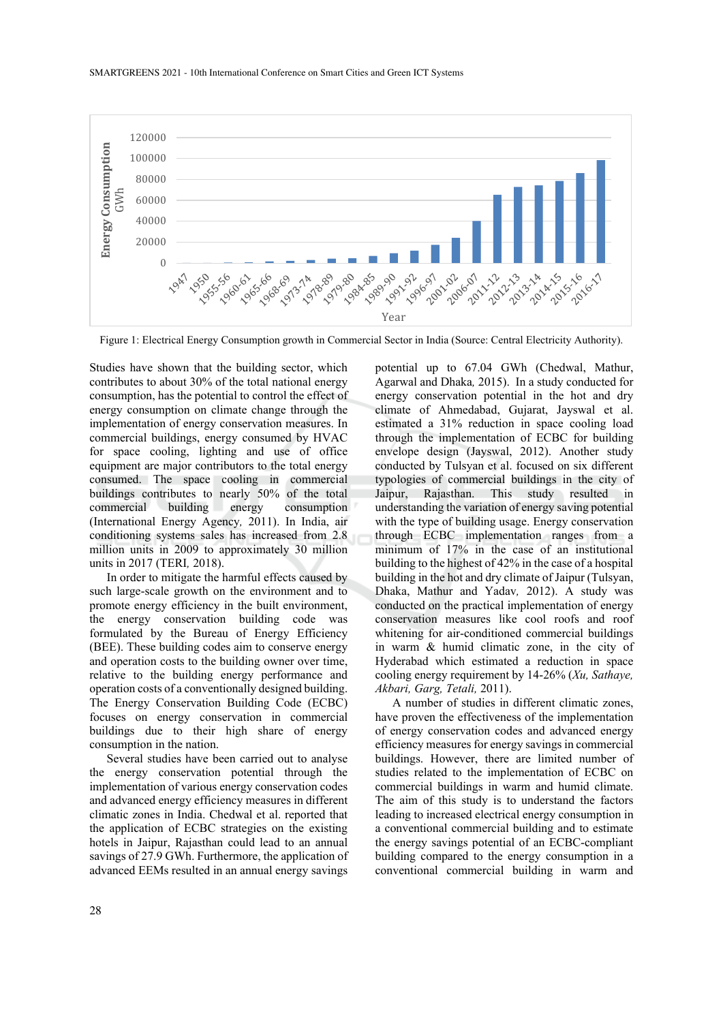

Figure 1: Electrical Energy Consumption growth in Commercial Sector in India (Source: Central Electricity Authority).

Studies have shown that the building sector, which contributes to about 30% of the total national energy consumption, has the potential to control the effect of energy consumption on climate change through the implementation of energy conservation measures. In commercial buildings, energy consumed by HVAC for space cooling, lighting and use of office equipment are major contributors to the total energy consumed. The space cooling in commercial buildings contributes to nearly 50% of the total commercial building energy consumption (International Energy Agency*,* 2011). In India, air conditioning systems sales has increased from 2.8 million units in 2009 to approximately 30 million units in 2017 (TERI*,* 2018).

In order to mitigate the harmful effects caused by such large-scale growth on the environment and to promote energy efficiency in the built environment, the energy conservation building code was formulated by the Bureau of Energy Efficiency (BEE). These building codes aim to conserve energy and operation costs to the building owner over time, relative to the building energy performance and operation costs of a conventionally designed building. The Energy Conservation Building Code (ECBC) focuses on energy conservation in commercial buildings due to their high share of energy consumption in the nation.

Several studies have been carried out to analyse the energy conservation potential through the implementation of various energy conservation codes and advanced energy efficiency measures in different climatic zones in India. Chedwal et al. reported that the application of ECBC strategies on the existing hotels in Jaipur, Rajasthan could lead to an annual savings of 27.9 GWh. Furthermore, the application of advanced EEMs resulted in an annual energy savings

potential up to 67.04 GWh (Chedwal, Mathur, Agarwal and Dhaka*,* 2015). In a study conducted for energy conservation potential in the hot and dry climate of Ahmedabad, Gujarat, Jayswal et al. estimated a 31% reduction in space cooling load through the implementation of ECBC for building envelope design (Jayswal, 2012). Another study conducted by Tulsyan et al. focused on six different typologies of commercial buildings in the city of Jaipur, Rajasthan. This study resulted in understanding the variation of energy saving potential with the type of building usage. Energy conservation through ECBC implementation ranges from a minimum of 17% in the case of an institutional building to the highest of 42% in the case of a hospital building in the hot and dry climate of Jaipur (Tulsyan, Dhaka, Mathur and Yadav*,* 2012). A study was conducted on the practical implementation of energy conservation measures like cool roofs and roof whitening for air-conditioned commercial buildings in warm & humid climatic zone, in the city of Hyderabad which estimated a reduction in space cooling energy requirement by 14-26% (*Xu, Sathaye, Akbari, Garg, Tetali,* 2011).

A number of studies in different climatic zones, have proven the effectiveness of the implementation of energy conservation codes and advanced energy efficiency measures for energy savings in commercial buildings. However, there are limited number of studies related to the implementation of ECBC on commercial buildings in warm and humid climate. The aim of this study is to understand the factors leading to increased electrical energy consumption in a conventional commercial building and to estimate the energy savings potential of an ECBC-compliant building compared to the energy consumption in a conventional commercial building in warm and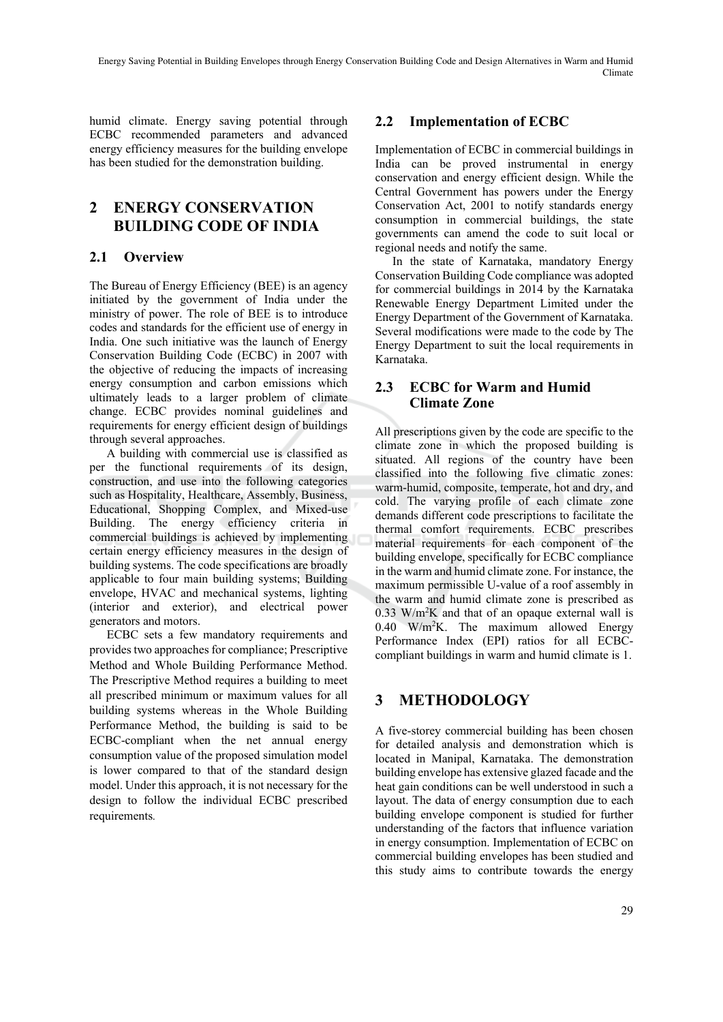humid climate. Energy saving potential through ECBC recommended parameters and advanced energy efficiency measures for the building envelope has been studied for the demonstration building.

# **2 ENERGY CONSERVATION BUILDING CODE OF INDIA**

## **2.1 Overview**

The Bureau of Energy Efficiency (BEE) is an agency initiated by the government of India under the ministry of power. The role of BEE is to introduce codes and standards for the efficient use of energy in India. One such initiative was the launch of Energy Conservation Building Code (ECBC) in 2007 with the objective of reducing the impacts of increasing energy consumption and carbon emissions which ultimately leads to a larger problem of climate change. ECBC provides nominal guidelines and requirements for energy efficient design of buildings through several approaches.

A building with commercial use is classified as per the functional requirements of its design, construction, and use into the following categories such as Hospitality, Healthcare, Assembly, Business, Educational, Shopping Complex, and Mixed-use Building. The energy efficiency criteria in commercial buildings is achieved by implementing certain energy efficiency measures in the design of building systems. The code specifications are broadly applicable to four main building systems; Building envelope, HVAC and mechanical systems, lighting (interior and exterior), and electrical power generators and motors.

ECBC sets a few mandatory requirements and provides two approaches for compliance; Prescriptive Method and Whole Building Performance Method. The Prescriptive Method requires a building to meet all prescribed minimum or maximum values for all building systems whereas in the Whole Building Performance Method, the building is said to be ECBC-compliant when the net annual energy consumption value of the proposed simulation model is lower compared to that of the standard design model. Under this approach, it is not necessary for the design to follow the individual ECBC prescribed requirements*.* 

## **2.2 Implementation of ECBC**

Implementation of ECBC in commercial buildings in India can be proved instrumental in energy conservation and energy efficient design. While the Central Government has powers under the Energy Conservation Act, 2001 to notify standards energy consumption in commercial buildings, the state governments can amend the code to suit local or regional needs and notify the same.

In the state of Karnataka, mandatory Energy Conservation Building Code compliance was adopted for commercial buildings in 2014 by the Karnataka Renewable Energy Department Limited under the Energy Department of the Government of Karnataka. Several modifications were made to the code by The Energy Department to suit the local requirements in Karnataka.

### **2.3 ECBC for Warm and Humid Climate Zone**

All prescriptions given by the code are specific to the climate zone in which the proposed building is situated. All regions of the country have been classified into the following five climatic zones: warm-humid, composite, temperate, hot and dry, and cold. The varying profile of each climate zone demands different code prescriptions to facilitate the thermal comfort requirements. ECBC prescribes material requirements for each component of the building envelope, specifically for ECBC compliance in the warm and humid climate zone. For instance, the maximum permissible U-value of a roof assembly in the warm and humid climate zone is prescribed as  $0.33$  W/m<sup>2</sup>K and that of an opaque external wall is  $0.40$  W/m<sup>2</sup>K. The maximum allowed Energy Performance Index (EPI) ratios for all ECBCcompliant buildings in warm and humid climate is 1.

# **3 METHODOLOGY**

A five-storey commercial building has been chosen for detailed analysis and demonstration which is located in Manipal, Karnataka. The demonstration building envelope has extensive glazed facade and the heat gain conditions can be well understood in such a layout. The data of energy consumption due to each building envelope component is studied for further understanding of the factors that influence variation in energy consumption. Implementation of ECBC on commercial building envelopes has been studied and this study aims to contribute towards the energy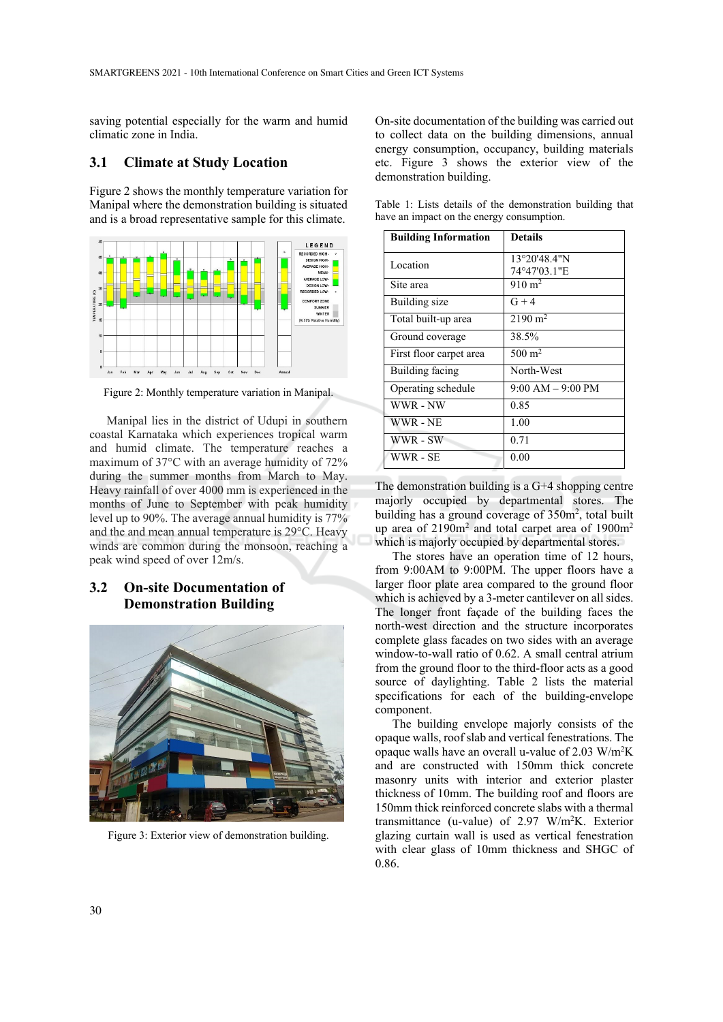saving potential especially for the warm and humid climatic zone in India.

#### **3.1 Climate at Study Location**

Figure 2 shows the monthly temperature variation for Manipal where the demonstration building is situated and is a broad representative sample for this climate.



Figure 2: Monthly temperature variation in Manipal.

Manipal lies in the district of Udupi in southern coastal Karnataka which experiences tropical warm and humid climate. The temperature reaches a maximum of 37°C with an average humidity of 72% during the summer months from March to May. Heavy rainfall of over 4000 mm is experienced in the months of June to September with peak humidity level up to 90%. The average annual humidity is 77% and the and mean annual temperature is 29°C. Heavy winds are common during the monsoon, reaching a peak wind speed of over 12m/s.

### **3.2 On-site Documentation of Demonstration Building**



Figure 3: Exterior view of demonstration building.

On-site documentation of the building was carried out to collect data on the building dimensions, annual energy consumption, occupancy, building materials etc. Figure 3 shows the exterior view of the demonstration building.

Table 1: Lists details of the demonstration building that have an impact on the energy consumption.

| <b>Building Information</b> | <b>Details</b>               |
|-----------------------------|------------------------------|
| Location                    | 13°20'48.4"N<br>74°47'03.1"E |
| Site area                   | $910 \text{ m}^2$            |
| Building size               | $G + 4$                      |
| Total built-up area         | $2190 \text{ m}^2$           |
| Ground coverage             | 38.5%                        |
| First floor carpet area     | $500 \text{ m}^2$            |
| Building facing             | North-West                   |
| Operating schedule          | $9:00 AM - 9:00 PM$          |
| WWR - NW                    | 0.85                         |
| WWR - NE                    | 1.00                         |
| WWR - SW                    | 0.71                         |
| WWR - SE                    | 0.00                         |

The demonstration building is a  $G+4$  shopping centre majorly occupied by departmental stores. The building has a ground coverage of  $350m^2$ , total built up area of 2190m<sup>2</sup> and total carpet area of 1900m<sup>2</sup> which is majorly occupied by departmental stores.

The stores have an operation time of 12 hours, from 9:00AM to 9:00PM. The upper floors have a larger floor plate area compared to the ground floor which is achieved by a 3-meter cantilever on all sides. The longer front façade of the building faces the north-west direction and the structure incorporates complete glass facades on two sides with an average window-to-wall ratio of 0.62. A small central atrium from the ground floor to the third-floor acts as a good source of daylighting. Table 2 lists the material specifications for each of the building-envelope component.

The building envelope majorly consists of the opaque walls, roof slab and vertical fenestrations. The opaque walls have an overall u-value of 2.03  $W/m^2K$ and are constructed with 150mm thick concrete masonry units with interior and exterior plaster thickness of 10mm. The building roof and floors are 150mm thick reinforced concrete slabs with a thermal transmittance (u-value) of 2.97 W/m2 K. Exterior glazing curtain wall is used as vertical fenestration with clear glass of 10mm thickness and SHGC of 0.86.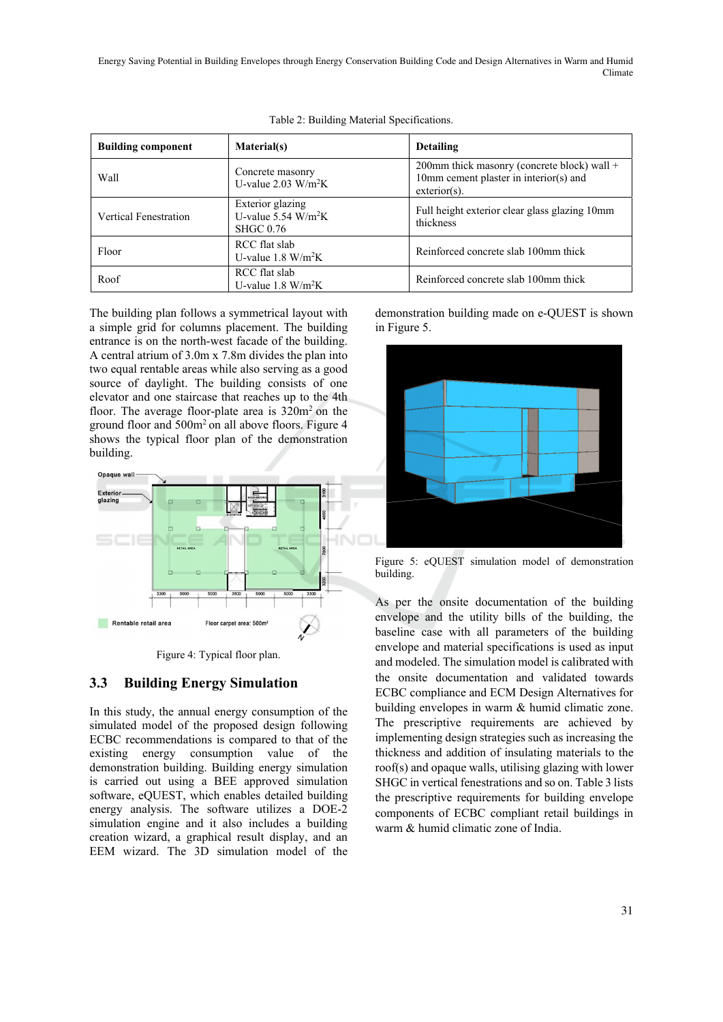Energy Saving Potential in Building Envelopes through Energy Conservation Building Code and Design Alternatives in Warm and Humid Climate

| <b>Building component</b> | Material(s)                                                               | <b>Detailing</b>                                                                                           |
|---------------------------|---------------------------------------------------------------------------|------------------------------------------------------------------------------------------------------------|
| Wall                      | Concrete masonry<br>U-value $2.03 \text{ W/m}^2\text{K}$                  | 200mm thick masonry (concrete block) wall $+$<br>10mm cement plaster in interior(s) and<br>$exterior(s)$ . |
| Vertical Fenestration     | Exterior glazing<br>U-value $5.54$ W/m <sup>2</sup> K<br><b>SHGC 0.76</b> | Full height exterior clear glass glazing 10mm<br>thickness                                                 |
| Floor                     | RCC flat slab<br>U-value $1.8 \text{ W/m}^2\text{K}$                      | Reinforced concrete slab 100mm thick                                                                       |
| Roof                      | RCC flat slab<br>U-value $1.8 \text{ W/m}^2\text{K}$                      | Reinforced concrete slab 100mm thick                                                                       |

Table 2: Building Material Specifications.

The building plan follows a symmetrical layout with a simple grid for columns placement. The building entrance is on the north-west facade of the building. A central atrium of 3.0m x 7.8m divides the plan into two equal rentable areas while also serving as a good source of daylight. The building consists of one elevator and one staircase that reaches up to the 4th floor. The average floor-plate area is  $320m^2$  on the ground floor and 500m2 on all above floors. Figure 4 shows the typical floor plan of the demonstration building.



Figure 4: Typical floor plan.

### **3.3 Building Energy Simulation**

In this study, the annual energy consumption of the simulated model of the proposed design following ECBC recommendations is compared to that of the existing energy consumption value of the demonstration building. Building energy simulation is carried out using a BEE approved simulation software, eQUEST, which enables detailed building energy analysis. The software utilizes a DOE-2 simulation engine and it also includes a building creation wizard, a graphical result display, and an EEM wizard. The 3D simulation model of the demonstration building made on e-QUEST is shown in Figure 5.



Figure 5: eQUEST simulation model of demonstration building.

As per the onsite documentation of the building envelope and the utility bills of the building, the baseline case with all parameters of the building envelope and material specifications is used as input and modeled. The simulation model is calibrated with the onsite documentation and validated towards ECBC compliance and ECM Design Alternatives for building envelopes in warm & humid climatic zone. The prescriptive requirements are achieved by implementing design strategies such as increasing the thickness and addition of insulating materials to the roof(s) and opaque walls, utilising glazing with lower SHGC in vertical fenestrations and so on. Table 3 lists the prescriptive requirements for building envelope components of ECBC compliant retail buildings in warm & humid climatic zone of India.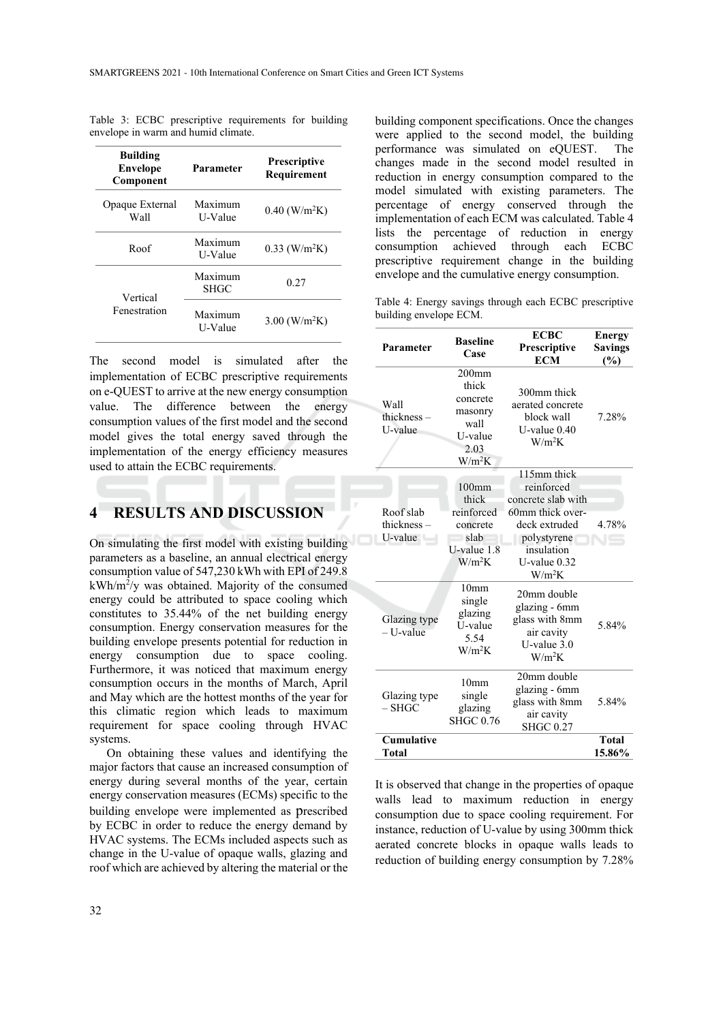| <b>Building</b><br><b>Envelope</b><br>Component | Parameter          | <b>Prescriptive</b><br>Requirement |  |
|-------------------------------------------------|--------------------|------------------------------------|--|
| Opaque External<br>Wall                         | Maximum<br>U-Value | $0.40$ (W/m <sup>2</sup> K)        |  |
| Roof                                            | Maximum<br>U-Value | $0.33$ (W/m <sup>2</sup> K)        |  |
| Vertical                                        | Maximum<br>SHGC    | 0.27                               |  |
| Fenestration                                    | Maximum<br>U-Value | $3.00$ (W/m <sup>2</sup> K)        |  |

Table 3: ECBC prescriptive requirements for building envelope in warm and humid climate.

The second model is simulated after the implementation of ECBC prescriptive requirements on e-QUEST to arrive at the new energy consumption value. The difference between the energy consumption values of the first model and the second model gives the total energy saved through the implementation of the energy efficiency measures used to attain the ECBC requirements.

# **4 RESULTS AND DISCUSSION**

On simulating the first model with existing building parameters as a baseline, an annual electrical energy consumption value of 547,230 kWh with EPI of 249.8 kWh/m2 /y was obtained. Majority of the consumed energy could be attributed to space cooling which constitutes to 35.44% of the net building energy consumption. Energy conservation measures for the building envelope presents potential for reduction in energy consumption due to space cooling. Furthermore, it was noticed that maximum energy consumption occurs in the months of March, April and May which are the hottest months of the year for this climatic region which leads to maximum requirement for space cooling through HVAC systems.

On obtaining these values and identifying the major factors that cause an increased consumption of energy during several months of the year, certain energy conservation measures (ECMs) specific to the building envelope were implemented as prescribed by ECBC in order to reduce the energy demand by HVAC systems. The ECMs included aspects such as change in the U-value of opaque walls, glazing and roof which are achieved by altering the material or the

building component specifications. Once the changes were applied to the second model, the building performance was simulated on eQUEST. The changes made in the second model resulted in reduction in energy consumption compared to the model simulated with existing parameters. The percentage of energy conserved through the implementation of each ECM was calculated. Table 4 lists the percentage of reduction in energy consumption achieved through each ECBC prescriptive requirement change in the building envelope and the cumulative energy consumption.

Table 4: Energy savings through each ECBC prescriptive building envelope ECM.

| Parameter                          | <b>Baseline</b>                                                                 | <b>ECBC</b><br>Prescriptive                                                                                                                        | <b>Energy</b><br><b>Savings</b> |
|------------------------------------|---------------------------------------------------------------------------------|----------------------------------------------------------------------------------------------------------------------------------------------------|---------------------------------|
|                                    | Case                                                                            | <b>ECM</b>                                                                                                                                         | (%)                             |
| Wall<br>thickness $-$<br>U-value   | $200$ mm<br>thick<br>concrete<br>masonry<br>wall<br>U-value<br>2.03<br>$W/m^2K$ | 300mm thick<br>aerated concrete<br>block wall<br>U-value $0.40$<br>$W/m^2K$                                                                        | 7.28%                           |
| Roof slab<br>thickness-<br>U-value | $100$ mm<br>thick<br>reinforced<br>concrete<br>slab<br>U-value 1.8<br>$W/m^2K$  | 115mm thick<br>reinforced<br>concrete slab with<br>60mm thick over-<br>deck extruded<br>polystyrene<br>insulation<br>$U$ -value $0.32$<br>$W/m^2K$ | 4.78%                           |
| Glazing type<br>- U-value          | 10mm<br>single<br>glazing<br>U-value<br>5.54<br>$W/m^2K$                        | 20mm double<br>glazing - 6mm<br>glass with 8mm<br>air cavity<br>$U$ -value $3.0$<br>$W/m^2K$                                                       | 5.84%                           |
| Glazing type<br>– SHGC             | 10mm<br>single<br>glazing<br><b>SHGC 0.76</b>                                   | 20mm double<br>glazing - 6mm<br>glass with 8mm<br>air cavity<br><b>SHGC 0.27</b>                                                                   | 5.84%                           |
| <b>Cumulative</b><br>Total         |                                                                                 |                                                                                                                                                    | <b>Total</b><br>15.86%          |

It is observed that change in the properties of opaque walls lead to maximum reduction in energy consumption due to space cooling requirement. For instance, reduction of U-value by using 300mm thick aerated concrete blocks in opaque walls leads to reduction of building energy consumption by 7.28%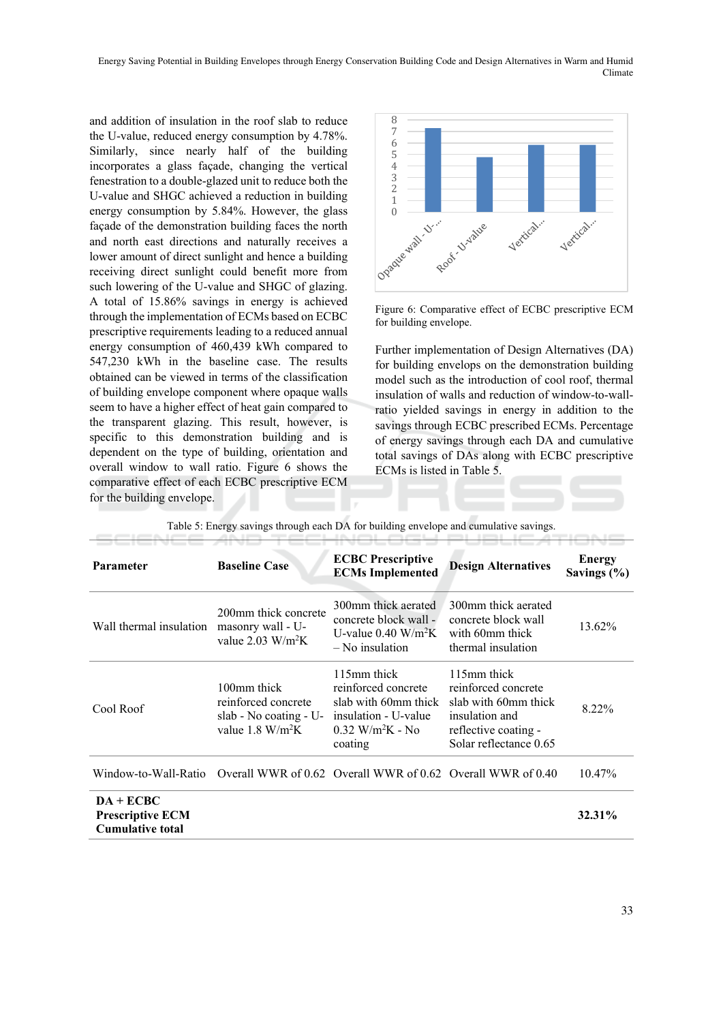and addition of insulation in the roof slab to reduce the U-value, reduced energy consumption by 4.78%. Similarly, since nearly half of the building incorporates a glass façade, changing the vertical fenestration to a double-glazed unit to reduce both the U-value and SHGC achieved a reduction in building energy consumption by 5.84%. However, the glass façade of the demonstration building faces the north and north east directions and naturally receives a lower amount of direct sunlight and hence a building receiving direct sunlight could benefit more from such lowering of the U-value and SHGC of glazing. A total of 15.86% savings in energy is achieved through the implementation of ECMs based on ECBC prescriptive requirements leading to a reduced annual energy consumption of 460,439 kWh compared to 547,230 kWh in the baseline case. The results obtained can be viewed in terms of the classification of building envelope component where opaque walls seem to have a higher effect of heat gain compared to the transparent glazing. This result, however, is specific to this demonstration building and is dependent on the type of building, orientation and overall window to wall ratio. Figure 6 shows the comparative effect of each ECBC prescriptive ECM for the building envelope.



Figure 6: Comparative effect of ECBC prescriptive ECM for building envelope.

Further implementation of Design Alternatives (DA) for building envelops on the demonstration building model such as the introduction of cool roof, thermal insulation of walls and reduction of window-to-wallratio yielded savings in energy in addition to the savings through ECBC prescribed ECMs. Percentage of energy savings through each DA and cumulative total savings of DAs along with ECBC prescriptive ECMs is listed in Table 5.

| Parameter                                                                        | <b>Baseline Case</b>                                                                              | <b>ECBC</b> Prescriptive<br><b>ECMs Implemented</b>                                                                             | <b>Design Alternatives</b>                                                                                                     | Energy<br>Savings $(\% )$ |
|----------------------------------------------------------------------------------|---------------------------------------------------------------------------------------------------|---------------------------------------------------------------------------------------------------------------------------------|--------------------------------------------------------------------------------------------------------------------------------|---------------------------|
| Wall thermal insulation                                                          | 200mm thick concrete<br>masonry wall - U-<br>value $2.03 \text{ W/m}^2\text{K}$                   | 300mm thick aerated<br>concrete block wall -<br>U-value $0.40 \text{ W/m}^2\text{K}$<br>– No insulation                         | 300mm thick aerated<br>concrete block wall<br>with 60mm thick<br>thermal insulation                                            | 13.62%                    |
| Cool Roof                                                                        | 100mm thick<br>reinforced concrete<br>slab - No coating - U-<br>value $1.8 \text{ W/m}^2\text{K}$ | 115mm thick<br>reinforced concrete<br>slab with 60mm thick<br>insulation - U-value<br>$0.32$ W/m <sup>2</sup> K - No<br>coating | 115mm thick<br>reinforced concrete<br>slab with 60mm thick<br>insulation and<br>reflective coating -<br>Solar reflectance 0.65 | 8.22%                     |
| Window-to-Wall-Ratio Overall WWR of 0.62 Overall WWR of 0.62 Overall WWR of 0.40 |                                                                                                   |                                                                                                                                 |                                                                                                                                | $10.47\%$                 |
| $DA + ECBC$<br><b>Prescriptive ECM</b><br><b>Cumulative total</b>                |                                                                                                   |                                                                                                                                 |                                                                                                                                | 32.31%                    |

Table 5: Energy savings through each DA for building envelope and cumulative savings.